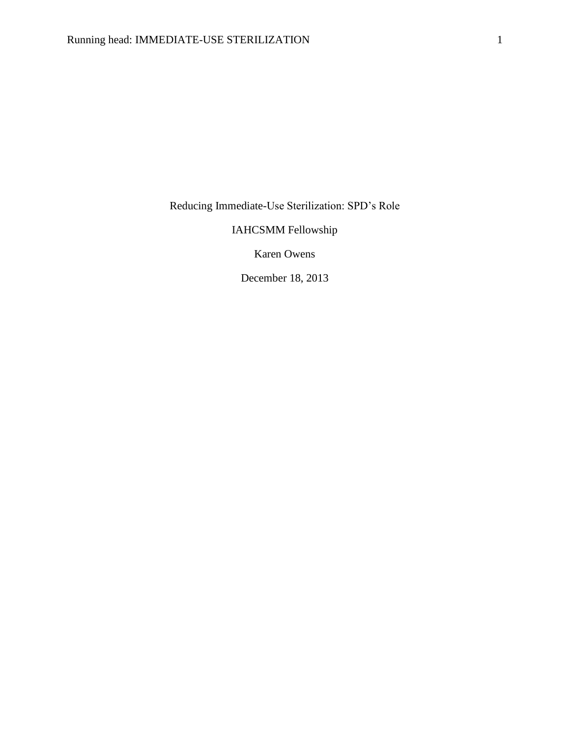Reducing Immediate-Use Sterilization: SPD's Role

IAHCSMM Fellowship

Karen Owens

December 18, 2013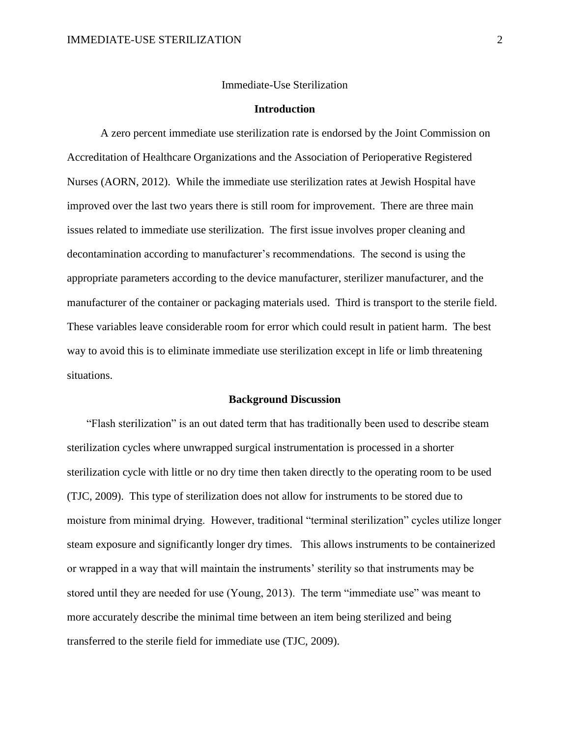#### Immediate-Use Sterilization

### **Introduction**

A zero percent immediate use sterilization rate is endorsed by the Joint Commission on Accreditation of Healthcare Organizations and the Association of Perioperative Registered Nurses (AORN, 2012). While the immediate use sterilization rates at Jewish Hospital have improved over the last two years there is still room for improvement. There are three main issues related to immediate use sterilization. The first issue involves proper cleaning and decontamination according to manufacturer's recommendations. The second is using the appropriate parameters according to the device manufacturer, sterilizer manufacturer, and the manufacturer of the container or packaging materials used. Third is transport to the sterile field. These variables leave considerable room for error which could result in patient harm. The best way to avoid this is to eliminate immediate use sterilization except in life or limb threatening situations.

#### **Background Discussion**

 "Flash sterilization" is an out dated term that has traditionally been used to describe steam sterilization cycles where unwrapped surgical instrumentation is processed in a shorter sterilization cycle with little or no dry time then taken directly to the operating room to be used (TJC, 2009). This type of sterilization does not allow for instruments to be stored due to moisture from minimal drying. However, traditional "terminal sterilization" cycles utilize longer steam exposure and significantly longer dry times. This allows instruments to be containerized or wrapped in a way that will maintain the instruments' sterility so that instruments may be stored until they are needed for use (Young, 2013). The term "immediate use" was meant to more accurately describe the minimal time between an item being sterilized and being transferred to the sterile field for immediate use (TJC, 2009).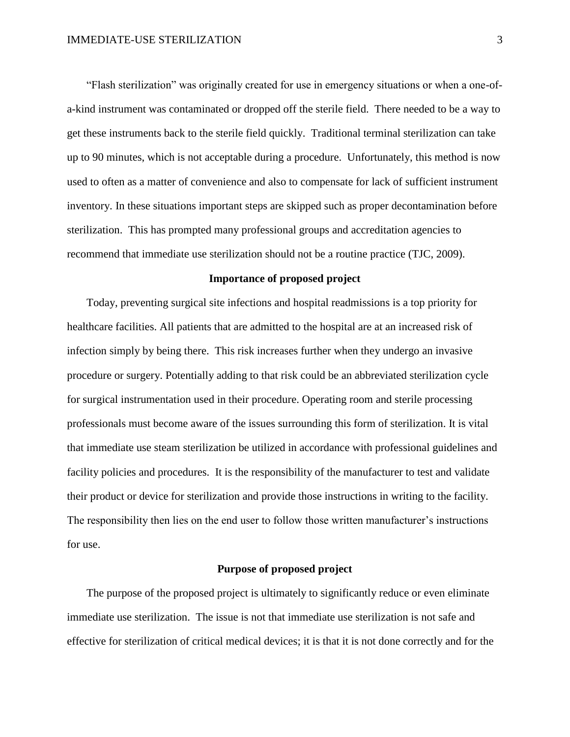"Flash sterilization" was originally created for use in emergency situations or when a one-ofa-kind instrument was contaminated or dropped off the sterile field. There needed to be a way to get these instruments back to the sterile field quickly. Traditional terminal sterilization can take up to 90 minutes, which is not acceptable during a procedure. Unfortunately, this method is now used to often as a matter of convenience and also to compensate for lack of sufficient instrument inventory. In these situations important steps are skipped such as proper decontamination before sterilization. This has prompted many professional groups and accreditation agencies to recommend that immediate use sterilization should not be a routine practice (TJC, 2009).

### **Importance of proposed project**

 Today, preventing surgical site infections and hospital readmissions is a top priority for healthcare facilities. All patients that are admitted to the hospital are at an increased risk of infection simply by being there. This risk increases further when they undergo an invasive procedure or surgery. Potentially adding to that risk could be an abbreviated sterilization cycle for surgical instrumentation used in their procedure. Operating room and sterile processing professionals must become aware of the issues surrounding this form of sterilization. It is vital that immediate use steam sterilization be utilized in accordance with professional guidelines and facility policies and procedures. It is the responsibility of the manufacturer to test and validate their product or device for sterilization and provide those instructions in writing to the facility. The responsibility then lies on the end user to follow those written manufacturer's instructions for use.

## **Purpose of proposed project**

The purpose of the proposed project is ultimately to significantly reduce or even eliminate immediate use sterilization. The issue is not that immediate use sterilization is not safe and effective for sterilization of critical medical devices; it is that it is not done correctly and for the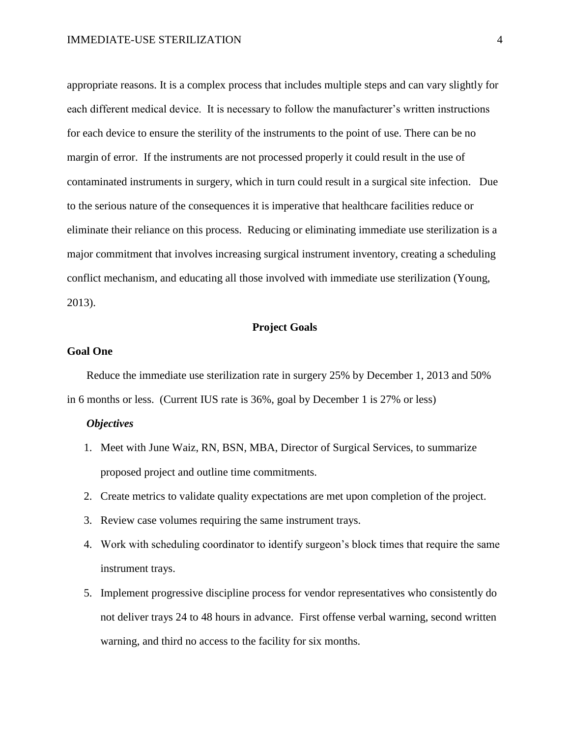appropriate reasons. It is a complex process that includes multiple steps and can vary slightly for each different medical device. It is necessary to follow the manufacturer's written instructions for each device to ensure the sterility of the instruments to the point of use. There can be no margin of error. If the instruments are not processed properly it could result in the use of contaminated instruments in surgery, which in turn could result in a surgical site infection. Due to the serious nature of the consequences it is imperative that healthcare facilities reduce or eliminate their reliance on this process. Reducing or eliminating immediate use sterilization is a major commitment that involves increasing surgical instrument inventory, creating a scheduling conflict mechanism, and educating all those involved with immediate use sterilization (Young, 2013).

## **Project Goals**

### **Goal One**

 Reduce the immediate use sterilization rate in surgery 25% by December 1, 2013 and 50% in 6 months or less. (Current IUS rate is 36%, goal by December 1 is 27% or less)

# *Objectives*

- 1. Meet with June Waiz, RN, BSN, MBA, Director of Surgical Services, to summarize proposed project and outline time commitments.
- 2. Create metrics to validate quality expectations are met upon completion of the project.
- 3. Review case volumes requiring the same instrument trays.
- 4. Work with scheduling coordinator to identify surgeon's block times that require the same instrument trays.
- 5. Implement progressive discipline process for vendor representatives who consistently do not deliver trays 24 to 48 hours in advance. First offense verbal warning, second written warning, and third no access to the facility for six months.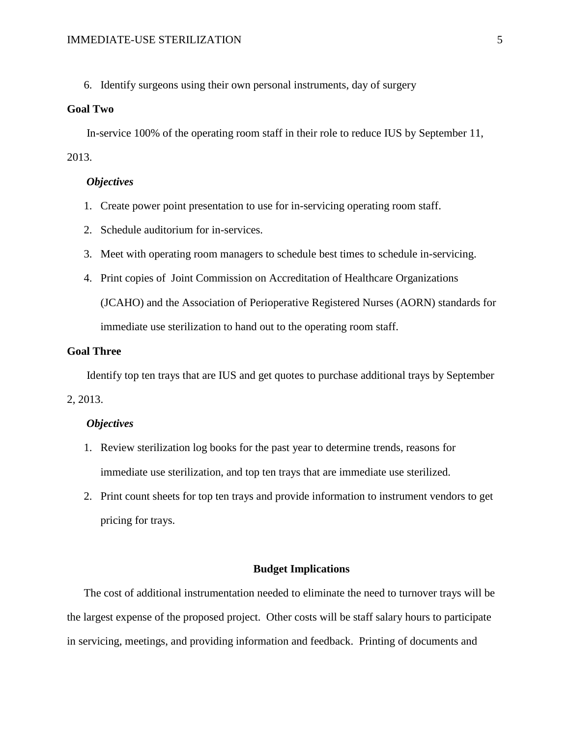6. Identify surgeons using their own personal instruments, day of surgery

## **Goal Two**

 In-service 100% of the operating room staff in their role to reduce IUS by September 11, 2013.

## *Objectives*

- 1. Create power point presentation to use for in-servicing operating room staff.
- 2. Schedule auditorium for in-services.
- 3. Meet with operating room managers to schedule best times to schedule in-servicing.
- 4. Print copies of Joint Commission on Accreditation of Healthcare Organizations (JCAHO) and the Association of Perioperative Registered Nurses (AORN) standards for immediate use sterilization to hand out to the operating room staff.

# **Goal Three**

Identify top ten trays that are IUS and get quotes to purchase additional trays by September

2, 2013.

### *Objectives*

- 1. Review sterilization log books for the past year to determine trends, reasons for immediate use sterilization, and top ten trays that are immediate use sterilized.
- 2. Print count sheets for top ten trays and provide information to instrument vendors to get pricing for trays.

#### **Budget Implications**

 The cost of additional instrumentation needed to eliminate the need to turnover trays will be the largest expense of the proposed project. Other costs will be staff salary hours to participate in servicing, meetings, and providing information and feedback. Printing of documents and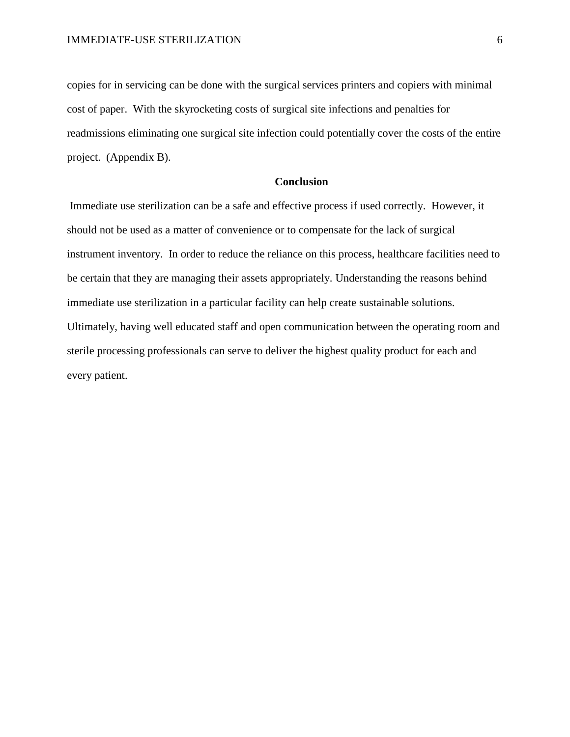copies for in servicing can be done with the surgical services printers and copiers with minimal cost of paper. With the skyrocketing costs of surgical site infections and penalties for readmissions eliminating one surgical site infection could potentially cover the costs of the entire project. (Appendix B).

# **Conclusion**

Immediate use sterilization can be a safe and effective process if used correctly. However, it should not be used as a matter of convenience or to compensate for the lack of surgical instrument inventory. In order to reduce the reliance on this process, healthcare facilities need to be certain that they are managing their assets appropriately. Understanding the reasons behind immediate use sterilization in a particular facility can help create sustainable solutions. Ultimately, having well educated staff and open communication between the operating room and sterile processing professionals can serve to deliver the highest quality product for each and every patient.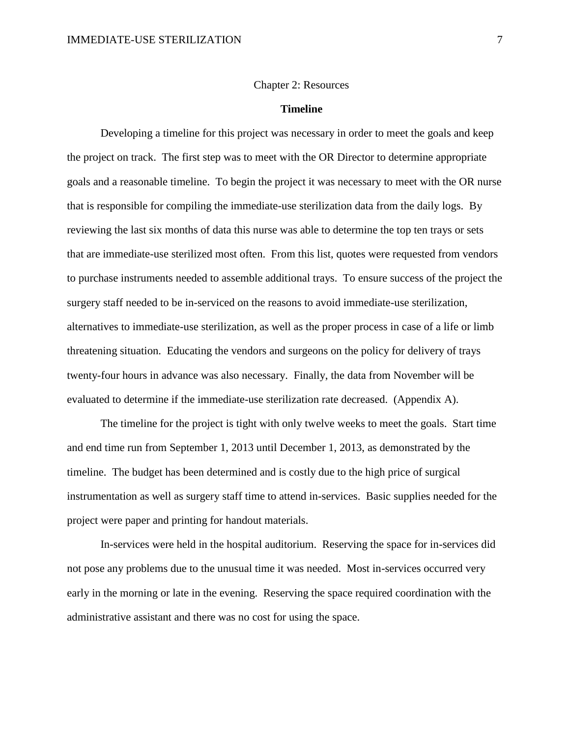## **Timeline**

Developing a timeline for this project was necessary in order to meet the goals and keep the project on track. The first step was to meet with the OR Director to determine appropriate goals and a reasonable timeline. To begin the project it was necessary to meet with the OR nurse that is responsible for compiling the immediate-use sterilization data from the daily logs. By reviewing the last six months of data this nurse was able to determine the top ten trays or sets that are immediate-use sterilized most often. From this list, quotes were requested from vendors to purchase instruments needed to assemble additional trays. To ensure success of the project the surgery staff needed to be in-serviced on the reasons to avoid immediate-use sterilization, alternatives to immediate-use sterilization, as well as the proper process in case of a life or limb threatening situation. Educating the vendors and surgeons on the policy for delivery of trays twenty-four hours in advance was also necessary. Finally, the data from November will be evaluated to determine if the immediate-use sterilization rate decreased. (Appendix A).

The timeline for the project is tight with only twelve weeks to meet the goals. Start time and end time run from September 1, 2013 until December 1, 2013, as demonstrated by the timeline. The budget has been determined and is costly due to the high price of surgical instrumentation as well as surgery staff time to attend in-services. Basic supplies needed for the project were paper and printing for handout materials.

In-services were held in the hospital auditorium. Reserving the space for in-services did not pose any problems due to the unusual time it was needed. Most in-services occurred very early in the morning or late in the evening. Reserving the space required coordination with the administrative assistant and there was no cost for using the space.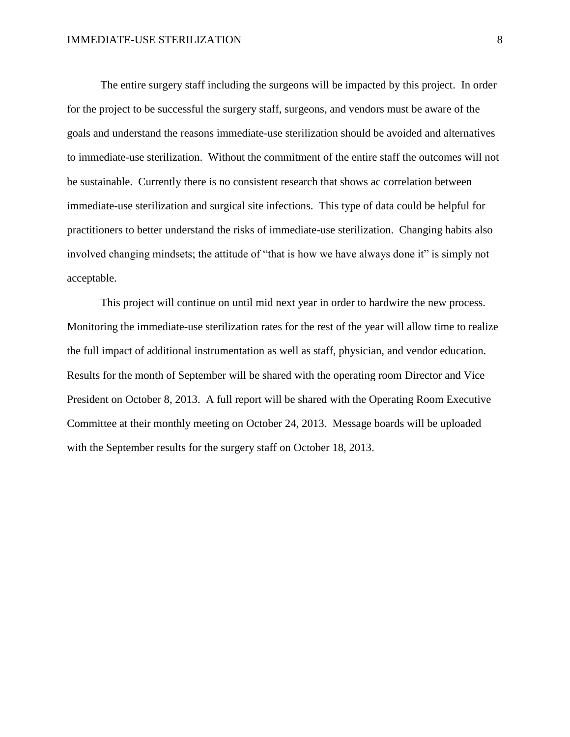The entire surgery staff including the surgeons will be impacted by this project. In order for the project to be successful the surgery staff, surgeons, and vendors must be aware of the goals and understand the reasons immediate-use sterilization should be avoided and alternatives to immediate-use sterilization. Without the commitment of the entire staff the outcomes will not be sustainable. Currently there is no consistent research that shows ac correlation between immediate-use sterilization and surgical site infections. This type of data could be helpful for practitioners to better understand the risks of immediate-use sterilization. Changing habits also involved changing mindsets; the attitude of "that is how we have always done it" is simply not acceptable.

This project will continue on until mid next year in order to hardwire the new process. Monitoring the immediate-use sterilization rates for the rest of the year will allow time to realize the full impact of additional instrumentation as well as staff, physician, and vendor education. Results for the month of September will be shared with the operating room Director and Vice President on October 8, 2013. A full report will be shared with the Operating Room Executive Committee at their monthly meeting on October 24, 2013. Message boards will be uploaded with the September results for the surgery staff on October 18, 2013.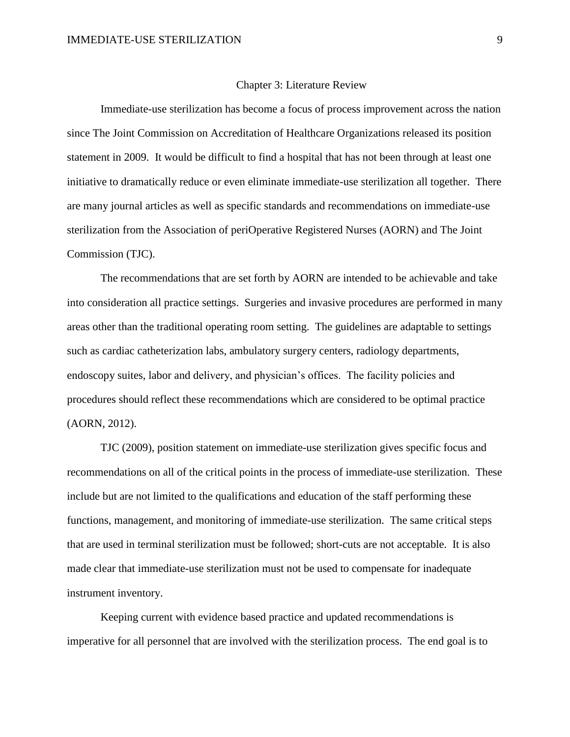#### Chapter 3: Literature Review

Immediate-use sterilization has become a focus of process improvement across the nation since The Joint Commission on Accreditation of Healthcare Organizations released its position statement in 2009. It would be difficult to find a hospital that has not been through at least one initiative to dramatically reduce or even eliminate immediate-use sterilization all together. There are many journal articles as well as specific standards and recommendations on immediate-use sterilization from the Association of periOperative Registered Nurses (AORN) and The Joint Commission (TJC).

The recommendations that are set forth by AORN are intended to be achievable and take into consideration all practice settings. Surgeries and invasive procedures are performed in many areas other than the traditional operating room setting. The guidelines are adaptable to settings such as cardiac catheterization labs, ambulatory surgery centers, radiology departments, endoscopy suites, labor and delivery, and physician's offices. The facility policies and procedures should reflect these recommendations which are considered to be optimal practice (AORN, 2012).

TJC (2009), position statement on immediate-use sterilization gives specific focus and recommendations on all of the critical points in the process of immediate-use sterilization. These include but are not limited to the qualifications and education of the staff performing these functions, management, and monitoring of immediate-use sterilization. The same critical steps that are used in terminal sterilization must be followed; short-cuts are not acceptable. It is also made clear that immediate-use sterilization must not be used to compensate for inadequate instrument inventory.

Keeping current with evidence based practice and updated recommendations is imperative for all personnel that are involved with the sterilization process. The end goal is to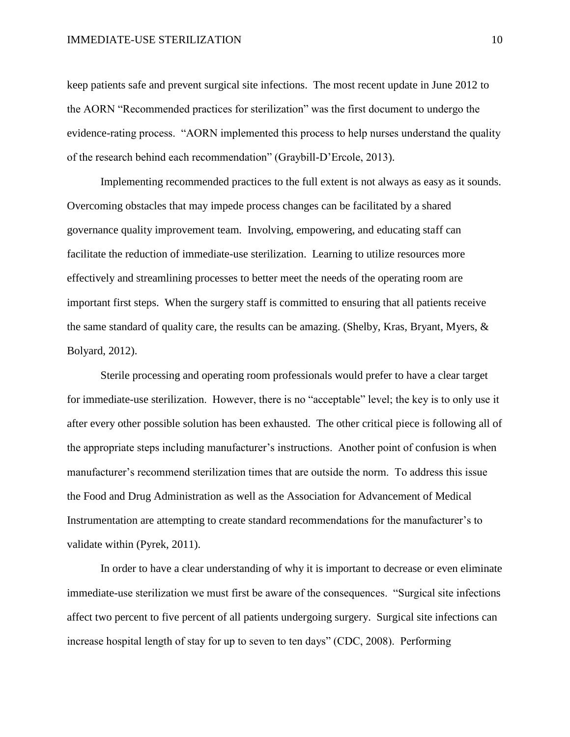keep patients safe and prevent surgical site infections. The most recent update in June 2012 to the AORN "Recommended practices for sterilization" was the first document to undergo the evidence-rating process. "AORN implemented this process to help nurses understand the quality of the research behind each recommendation" (Graybill-D'Ercole, 2013).

Implementing recommended practices to the full extent is not always as easy as it sounds. Overcoming obstacles that may impede process changes can be facilitated by a shared governance quality improvement team. Involving, empowering, and educating staff can facilitate the reduction of immediate-use sterilization. Learning to utilize resources more effectively and streamlining processes to better meet the needs of the operating room are important first steps. When the surgery staff is committed to ensuring that all patients receive the same standard of quality care, the results can be amazing. (Shelby, Kras, Bryant, Myers, & Bolyard, 2012).

Sterile processing and operating room professionals would prefer to have a clear target for immediate-use sterilization. However, there is no "acceptable" level; the key is to only use it after every other possible solution has been exhausted. The other critical piece is following all of the appropriate steps including manufacturer's instructions. Another point of confusion is when manufacturer's recommend sterilization times that are outside the norm. To address this issue the Food and Drug Administration as well as the Association for Advancement of Medical Instrumentation are attempting to create standard recommendations for the manufacturer's to validate within (Pyrek, 2011).

In order to have a clear understanding of why it is important to decrease or even eliminate immediate-use sterilization we must first be aware of the consequences. "Surgical site infections affect two percent to five percent of all patients undergoing surgery. Surgical site infections can increase hospital length of stay for up to seven to ten days" (CDC, 2008). Performing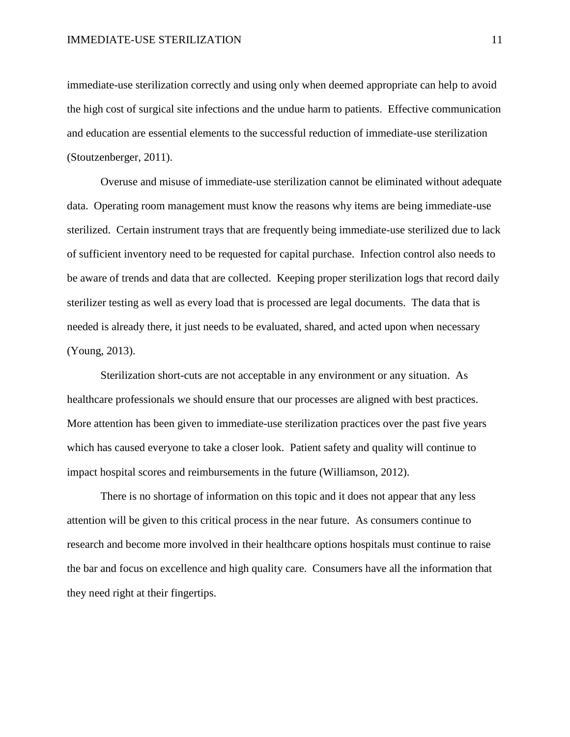immediate-use sterilization correctly and using only when deemed appropriate can help to avoid the high cost of surgical site infections and the undue harm to patients. Effective communication and education are essential elements to the successful reduction of immediate-use sterilization (Stoutzenberger, 2011).

Overuse and misuse of immediate-use sterilization cannot be eliminated without adequate data. Operating room management must know the reasons why items are being immediate-use sterilized. Certain instrument trays that are frequently being immediate-use sterilized due to lack of sufficient inventory need to be requested for capital purchase. Infection control also needs to be aware of trends and data that are collected. Keeping proper sterilization logs that record daily sterilizer testing as well as every load that is processed are legal documents. The data that is needed is already there, it just needs to be evaluated, shared, and acted upon when necessary (Young, 2013).

Sterilization short-cuts are not acceptable in any environment or any situation. As healthcare professionals we should ensure that our processes are aligned with best practices. More attention has been given to immediate-use sterilization practices over the past five years which has caused everyone to take a closer look. Patient safety and quality will continue to impact hospital scores and reimbursements in the future (Williamson, 2012).

There is no shortage of information on this topic and it does not appear that any less attention will be given to this critical process in the near future. As consumers continue to research and become more involved in their healthcare options hospitals must continue to raise the bar and focus on excellence and high quality care. Consumers have all the information that they need right at their fingertips.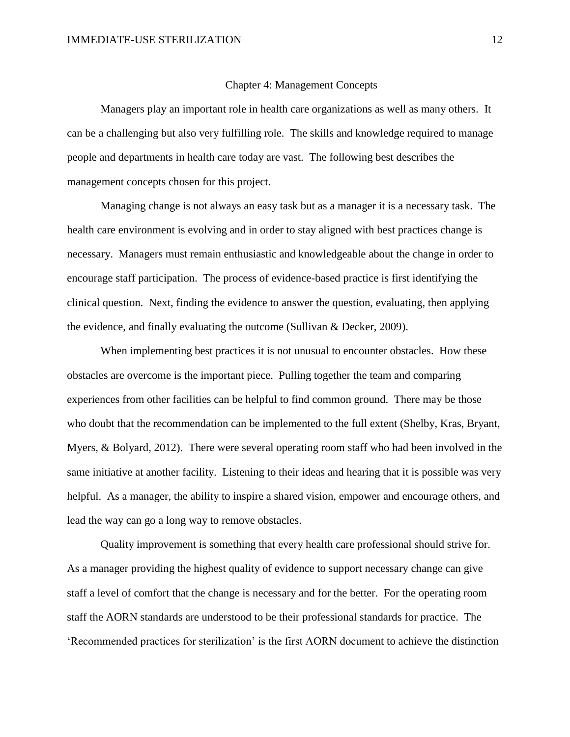#### Chapter 4: Management Concepts

Managers play an important role in health care organizations as well as many others. It can be a challenging but also very fulfilling role. The skills and knowledge required to manage people and departments in health care today are vast. The following best describes the management concepts chosen for this project.

Managing change is not always an easy task but as a manager it is a necessary task. The health care environment is evolving and in order to stay aligned with best practices change is necessary. Managers must remain enthusiastic and knowledgeable about the change in order to encourage staff participation. The process of evidence-based practice is first identifying the clinical question. Next, finding the evidence to answer the question, evaluating, then applying the evidence, and finally evaluating the outcome (Sullivan & Decker, 2009).

When implementing best practices it is not unusual to encounter obstacles. How these obstacles are overcome is the important piece. Pulling together the team and comparing experiences from other facilities can be helpful to find common ground. There may be those who doubt that the recommendation can be implemented to the full extent (Shelby, Kras, Bryant, Myers, & Bolyard, 2012). There were several operating room staff who had been involved in the same initiative at another facility. Listening to their ideas and hearing that it is possible was very helpful. As a manager, the ability to inspire a shared vision, empower and encourage others, and lead the way can go a long way to remove obstacles.

Quality improvement is something that every health care professional should strive for. As a manager providing the highest quality of evidence to support necessary change can give staff a level of comfort that the change is necessary and for the better. For the operating room staff the AORN standards are understood to be their professional standards for practice. The 'Recommended practices for sterilization' is the first AORN document to achieve the distinction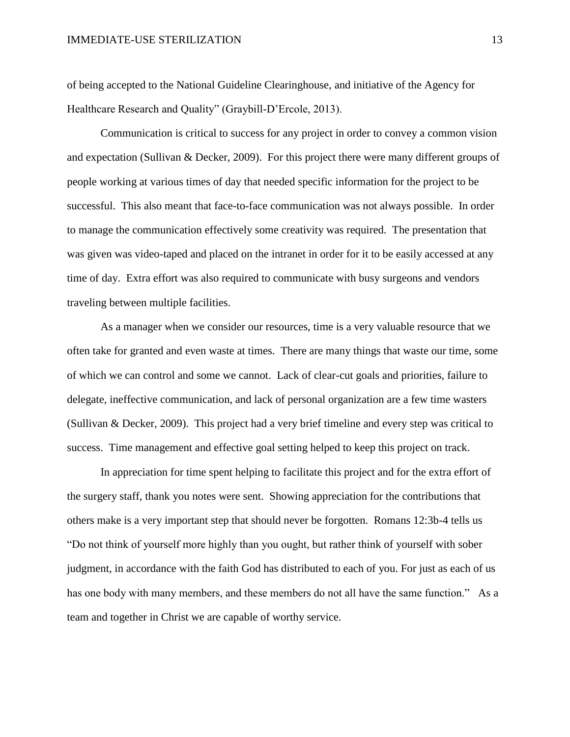of being accepted to the National Guideline Clearinghouse, and initiative of the Agency for Healthcare Research and Quality" (Graybill-D'Ercole, 2013).

Communication is critical to success for any project in order to convey a common vision and expectation (Sullivan & Decker, 2009). For this project there were many different groups of people working at various times of day that needed specific information for the project to be successful. This also meant that face-to-face communication was not always possible. In order to manage the communication effectively some creativity was required. The presentation that was given was video-taped and placed on the intranet in order for it to be easily accessed at any time of day. Extra effort was also required to communicate with busy surgeons and vendors traveling between multiple facilities.

As a manager when we consider our resources, time is a very valuable resource that we often take for granted and even waste at times. There are many things that waste our time, some of which we can control and some we cannot. Lack of clear-cut goals and priorities, failure to delegate, ineffective communication, and lack of personal organization are a few time wasters (Sullivan & Decker, 2009). This project had a very brief timeline and every step was critical to success. Time management and effective goal setting helped to keep this project on track.

In appreciation for time spent helping to facilitate this project and for the extra effort of the surgery staff, thank you notes were sent. Showing appreciation for the contributions that others make is a very important step that should never be forgotten. Romans 12:3b-4 tells us "Do not think of yourself more highly than you ought, but rather think of yourself with sober judgment, in accordance with the faith God has distributed to each of you. For just as each of us has one body with many members, and these members do not all have the same function." As a team and together in Christ we are capable of worthy service.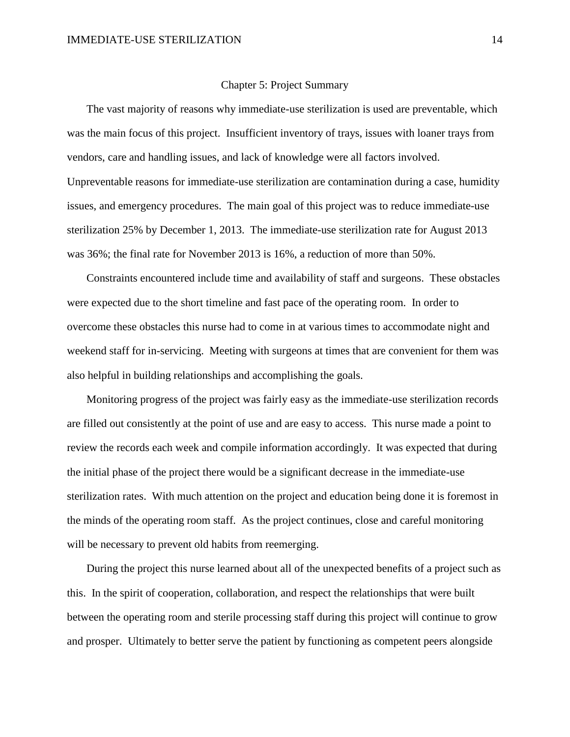#### Chapter 5: Project Summary

 The vast majority of reasons why immediate-use sterilization is used are preventable, which was the main focus of this project. Insufficient inventory of trays, issues with loaner trays from vendors, care and handling issues, and lack of knowledge were all factors involved. Unpreventable reasons for immediate-use sterilization are contamination during a case, humidity issues, and emergency procedures. The main goal of this project was to reduce immediate-use sterilization 25% by December 1, 2013. The immediate-use sterilization rate for August 2013 was 36%; the final rate for November 2013 is 16%, a reduction of more than 50%.

 Constraints encountered include time and availability of staff and surgeons. These obstacles were expected due to the short timeline and fast pace of the operating room. In order to overcome these obstacles this nurse had to come in at various times to accommodate night and weekend staff for in-servicing. Meeting with surgeons at times that are convenient for them was also helpful in building relationships and accomplishing the goals.

 Monitoring progress of the project was fairly easy as the immediate-use sterilization records are filled out consistently at the point of use and are easy to access. This nurse made a point to review the records each week and compile information accordingly. It was expected that during the initial phase of the project there would be a significant decrease in the immediate-use sterilization rates. With much attention on the project and education being done it is foremost in the minds of the operating room staff. As the project continues, close and careful monitoring will be necessary to prevent old habits from reemerging.

 During the project this nurse learned about all of the unexpected benefits of a project such as this. In the spirit of cooperation, collaboration, and respect the relationships that were built between the operating room and sterile processing staff during this project will continue to grow and prosper. Ultimately to better serve the patient by functioning as competent peers alongside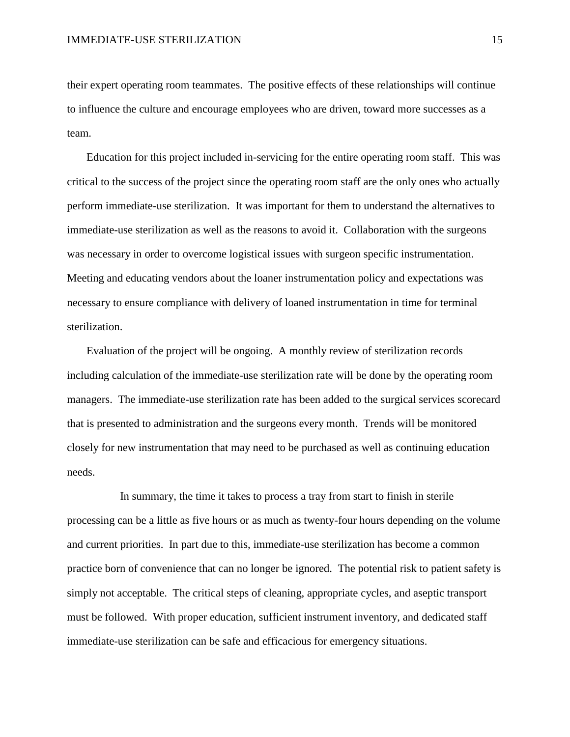their expert operating room teammates. The positive effects of these relationships will continue to influence the culture and encourage employees who are driven, toward more successes as a team.

 Education for this project included in-servicing for the entire operating room staff. This was critical to the success of the project since the operating room staff are the only ones who actually perform immediate-use sterilization. It was important for them to understand the alternatives to immediate-use sterilization as well as the reasons to avoid it. Collaboration with the surgeons was necessary in order to overcome logistical issues with surgeon specific instrumentation. Meeting and educating vendors about the loaner instrumentation policy and expectations was necessary to ensure compliance with delivery of loaned instrumentation in time for terminal sterilization.

 Evaluation of the project will be ongoing. A monthly review of sterilization records including calculation of the immediate-use sterilization rate will be done by the operating room managers. The immediate-use sterilization rate has been added to the surgical services scorecard that is presented to administration and the surgeons every month. Trends will be monitored closely for new instrumentation that may need to be purchased as well as continuing education needs.

 In summary, the time it takes to process a tray from start to finish in sterile processing can be a little as five hours or as much as twenty-four hours depending on the volume and current priorities. In part due to this, immediate-use sterilization has become a common practice born of convenience that can no longer be ignored. The potential risk to patient safety is simply not acceptable. The critical steps of cleaning, appropriate cycles, and aseptic transport must be followed. With proper education, sufficient instrument inventory, and dedicated staff immediate-use sterilization can be safe and efficacious for emergency situations.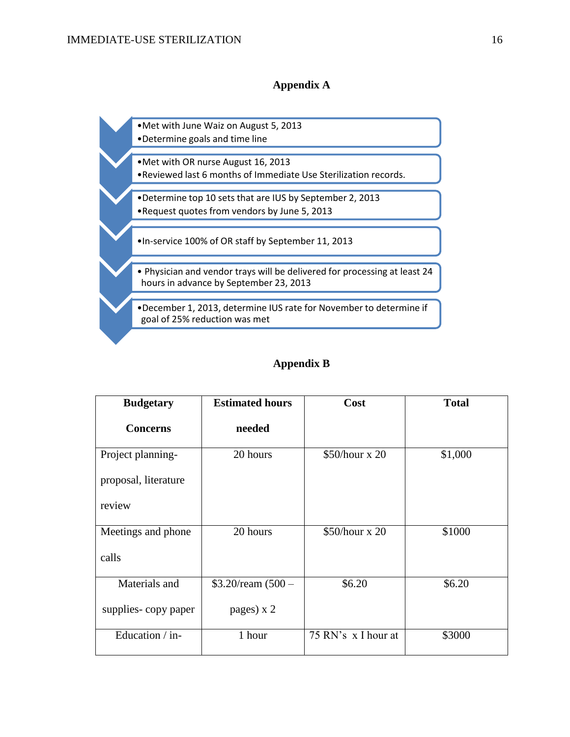# **Appendix A**

•Met with June Waiz on August 5, 2013 •Determine goals and time line •Met with OR nurse August 16, 2013 •Reviewed last 6 months of Immediate Use Sterilization records. •Determine top 10 sets that are IUS by September 2, 2013 •Request quotes from vendors by June 5, 2013 •In-service 100% of OR staff by September 11, 2013 • Physician and vendor trays will be delivered for processing at least 24 hours in advance by September 23, 2013 •December 1, 2013, determine IUS rate for November to determine if goal of 25% reduction was met

# **Appendix B**

| <b>Budgetary</b>     | <b>Estimated hours</b> | Cost                 | <b>Total</b> |
|----------------------|------------------------|----------------------|--------------|
| <b>Concerns</b>      | needed                 |                      |              |
| Project planning-    | 20 hours               | $$50/hour \times 20$ | \$1,000      |
| proposal, literature |                        |                      |              |
| review               |                        |                      |              |
| Meetings and phone   | 20 hours               | \$50/hour x 20       | \$1000       |
| calls                |                        |                      |              |
| Materials and        | $$3.20$ /ream $(500 -$ | \$6.20               | \$6.20       |
| supplies-copy paper  | pages) x 2             |                      |              |
| Education / in-      | 1 hour                 | 75 RN's x I hour at  | \$3000       |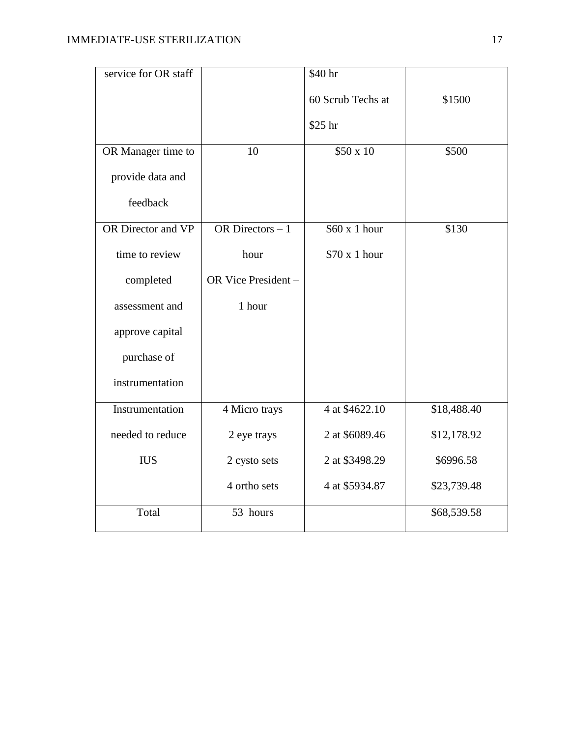| service for OR staff |                     | \$40 hr           |             |
|----------------------|---------------------|-------------------|-------------|
|                      |                     | 60 Scrub Techs at | \$1500      |
|                      |                     | \$25 hr           |             |
| OR Manager time to   | 10                  | \$50 x 10         | \$500       |
| provide data and     |                     |                   |             |
| feedback             |                     |                   |             |
| OR Director and VP   | OR Directors $-1$   | \$60 x 1 hour     | \$130       |
| time to review       | hour                | \$70 x 1 hour     |             |
| completed            | OR Vice President - |                   |             |
| assessment and       | 1 hour              |                   |             |
| approve capital      |                     |                   |             |
| purchase of          |                     |                   |             |
| instrumentation      |                     |                   |             |
| Instrumentation      | 4 Micro trays       | 4 at \$4622.10    | \$18,488.40 |
| needed to reduce     | 2 eye trays         | 2 at \$6089.46    | \$12,178.92 |
| <b>IUS</b>           | 2 cysto sets        | 2 at \$3498.29    | \$6996.58   |
|                      | 4 ortho sets        | 4 at \$5934.87    | \$23,739.48 |
| Total                | 53 hours            |                   | \$68,539.58 |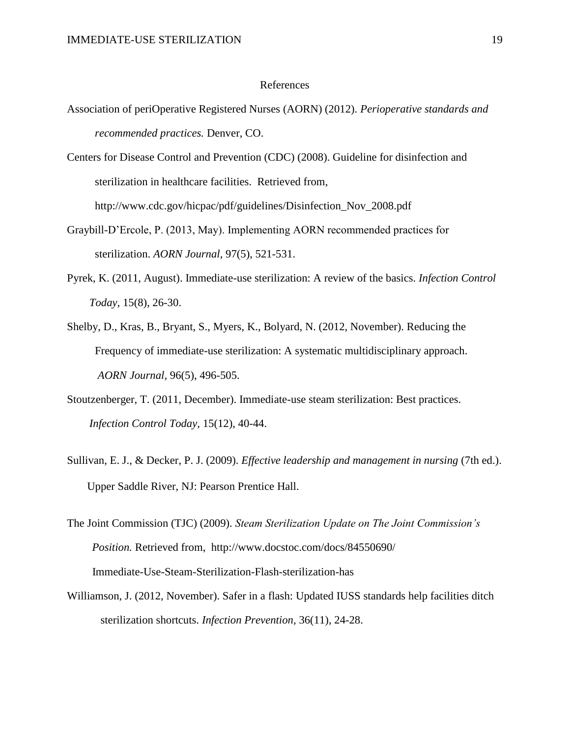#### References

Association of periOperative Registered Nurses (AORN) (2012). *Perioperative standards and recommended practices.* Denver, CO.

Centers for Disease Control and Prevention (CDC) (2008). Guideline for disinfection and sterilization in healthcare facilities. Retrieved from, http://www.cdc.gov/hicpac/pdf/guidelines/Disinfection\_Nov\_2008.pdf

- Graybill-D'Ercole, P. (2013, May). Implementing AORN recommended practices for sterilization. *AORN Journal,* 97(5), 521-531.
- Pyrek, K. (2011, August). Immediate-use sterilization: A review of the basics. *Infection Control Today,* 15(8), 26-30.
- Shelby, D., Kras, B., Bryant, S., Myers, K., Bolyard, N. (2012, November). Reducing the Frequency of immediate-use sterilization: A systematic multidisciplinary approach. *AORN Journal,* 96(5), 496-505.
- Stoutzenberger, T. (2011, December). Immediate-use steam sterilization: Best practices. *Infection Control Today,* 15(12), 40-44.
- Sullivan, E. J., & Decker, P. J. (2009). *Effective leadership and management in nursing* (7th ed.). Upper Saddle River, NJ: Pearson Prentice Hall.
- The Joint Commission (TJC) (2009). *Steam Sterilization Update on The Joint Commission's Position.* Retrieved from, http://www.docstoc.com/docs/84550690/ Immediate-Use-Steam-Sterilization-Flash-sterilization-has
- Williamson, J. (2012, November). Safer in a flash: Updated IUSS standards help facilities ditch sterilization shortcuts. *Infection Prevention,* 36(11), 24-28.